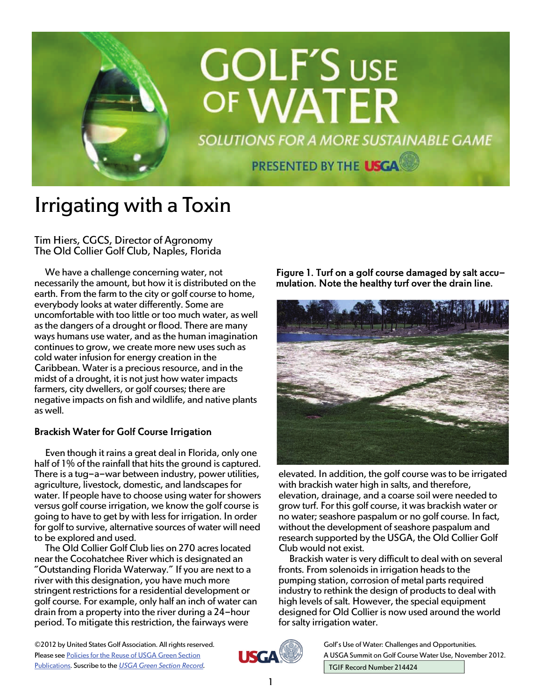

# Irrigating with a Toxin

Tim Hiers, CGCS, Director of Agronomy The Old Collier Golf Club, Naples, Florida

We have a challenge concerning water, not necessarily the amount, but how it is distributed on the earth. From the farm to the city or golf course to home, everybody looks at water differently. Some are uncomfortable with too little or too much water, as well as the dangers of a drought or flood. There are many ways humans use water, and as the human imagination continues to grow, we create more new uses such as cold water infusion for energy creation in the Caribbean. Water is a precious resource, and in the midst of a drought, it is not just how water impacts farmers, city dwellers, or golf courses; there are negative impacts on fish and wildlife, and native plants as well.

## Brackish Water for Golf Course Irrigation

Even though it rains a great deal in Florida, only one half of 1% of the rainfall that hits the ground is captured. There is a tug-a-war between industry, power utilities, agriculture, livestock, domestic, and landscapes for water. If people have to choose using water for showers versus golf course irrigation, we know the golf course is going to have to get by with less for irrigation. In order for golf to survive, alternative sources of water will need to be explored and used.

The Old Collier Golf Club lies on 270 acres located near the Cocohatchee River which is designated an "Outstanding Florida Waterway." If you are next to a river with this designation, you have much more stringent restrictions for a residential development or golf course. For example, only half an inch of water can drain from a property into the river during a 24-hour period. To mitigate this restriction, the fairways were

Figure 1. Turf on a golf course damaged by salt accumulation. Note the healthy turf over the drain line.



elevated. In addition, the golf course was to be irrigated with brackish water high in salts, and therefore, elevation, drainage, and a coarse soil were needed to grow turf. For this golf course, it was brackish water or no water; seashore paspalum or no golf course. In fact, without the development of seashore paspalum and research supported by the USGA, the Old Collier Golf Club would not exist.

Brackish water is very difficult to deal with on several fronts. From solenoids in irrigation heads to the pumping station, corrosion of metal parts required industry to rethink the design of products to deal with high levels of salt. However, the special equipment designed for Old Collier is now used around the world for salty irrigation water.

©2012 by United States Golf Association. All rights reserved. Please see [Policies for the Reuse of USGA Green Section](http://www.usga.org/course_care/green_section_record/Policies-For-Use-and-Reuse/)  [Publications](http://www.usga.org/course_care/green_section_record/Policies-For-Use-and-Reuse/). Suscribe to the *[USGA Green Section Record.](http://www.usga.org/course_care/green_section_record/Green-Section-Record/)* 



Golf's Use of Water: Challenges and Opportunities*.*  A USGA Summit on Golf Course Water Use, November 2012. TGIF Record Number 214424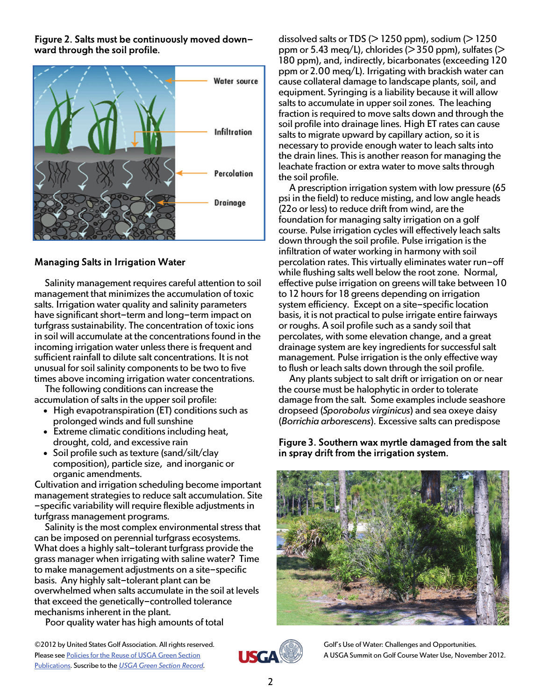Figure 2. Salts must be continuously moved downward through the soil profile.



## Managing Salts in Irrigation Water

Salinity management requires careful attention to soil management that minimizes the accumulation of toxic salts. Irrigation water quality and salinity parameters have significant short-term and long-term impact on turfgrass sustainability. The concentration of toxic ions in soil will accumulate at the concentrations found in the incoming irrigation water unless there is frequent and sufficient rainfall to dilute salt concentrations. It is not unusual for soil salinity components to be two to five times above incoming irrigation water concentrations.

The following conditions can increase the accumulation of salts in the upper soil profile:

- High evapotranspiration (ET) conditions such as prolonged winds and full sunshine
- Extreme climatic conditions including heat, drought, cold, and excessive rain
- Soil profile such as texture (sand/silt/clay composition), particle size, and inorganic or organic amendments.

Cultivation and irrigation scheduling become important management strategies to reduce salt accumulation. Site -specific variability will require flexible adjustments in turfgrass management programs.

Salinity is the most complex environmental stress that can be imposed on perennial turfgrass ecosystems. What does a highly salt-tolerant turfgrass provide the grass manager when irrigating with saline water? Time to make management adjustments on a site-specific basis. Any highly salt-tolerant plant can be overwhelmed when salts accumulate in the soil at levels that exceed the genetically-controlled tolerance mechanisms inherent in the plant.

Poor quality water has high amounts of total

dissolved salts or TDS ( $>$  1250 ppm), sodium ( $>$  1250 ppm or 5.43 meg/L), chlorides ( $>$  350 ppm), sulfates ( $>$ 180 ppm), and, indirectly, bicarbonates (exceeding 120 ppm or 2.00 meq/L). Irrigating with brackish water can cause collateral damage to landscape plants, soil, and equipment. Syringing is a liability because it will allow salts to accumulate in upper soil zones. The leaching fraction is required to move salts down and through the soil profile into drainage lines. High ET rates can cause salts to migrate upward by capillary action, so it is necessary to provide enough water to leach salts into the drain lines. This is another reason for managing the leachate fraction or extra water to move salts through the soil profile.

A prescription irrigation system with low pressure (65 psi in the field) to reduce misting, and low angle heads (22o or less) to reduce drift from wind, are the foundation for managing salty irrigation on a golf course. Pulse irrigation cycles will effectively leach salts down through the soil profile. Pulse irrigation is the infiltration of water working in harmony with soil percolation rates. This virtually eliminates water run-off while flushing salts well below the root zone. Normal, effective pulse irrigation on greens will take between 10 to 12 hours for 18 greens depending on irrigation system efficiency. Except on a site-specific location basis, it is not practical to pulse irrigate entire fairways or roughs. A soil profile such as a sandy soil that percolates, with some elevation change, and a great drainage system are key ingredients for successful salt management. Pulse irrigation is the only effective way to flush or leach salts down through the soil profile.

Any plants subject to salt drift or irrigation on or near the course must be halophytic in order to tolerate damage from the salt. Some examples include seashore dropseed (*Sporobolus virginicus*) and sea oxeye daisy (*Borrichia arborescens*). Excessive salts can predispose

#### Figure 3. Southern wax myrtle damaged from the salt in spray drift from the irrigation system.





Golf's Use of Water: Challenges and Opportunities*.*  A USGA Summit on Golf Course Water Use, November 2012.

©2012 by United States Golf Association. All rights reserved. Please see Policies for the Reuse of USGA Green Section [Publications](http://www.usga.org/course_care/green_section_record/Policies-For-Use-and-Reuse/). Suscribe to the *[USGA Green Section Record.](http://www.usga.org/course_care/green_section_record/Green-Section-Record/)*